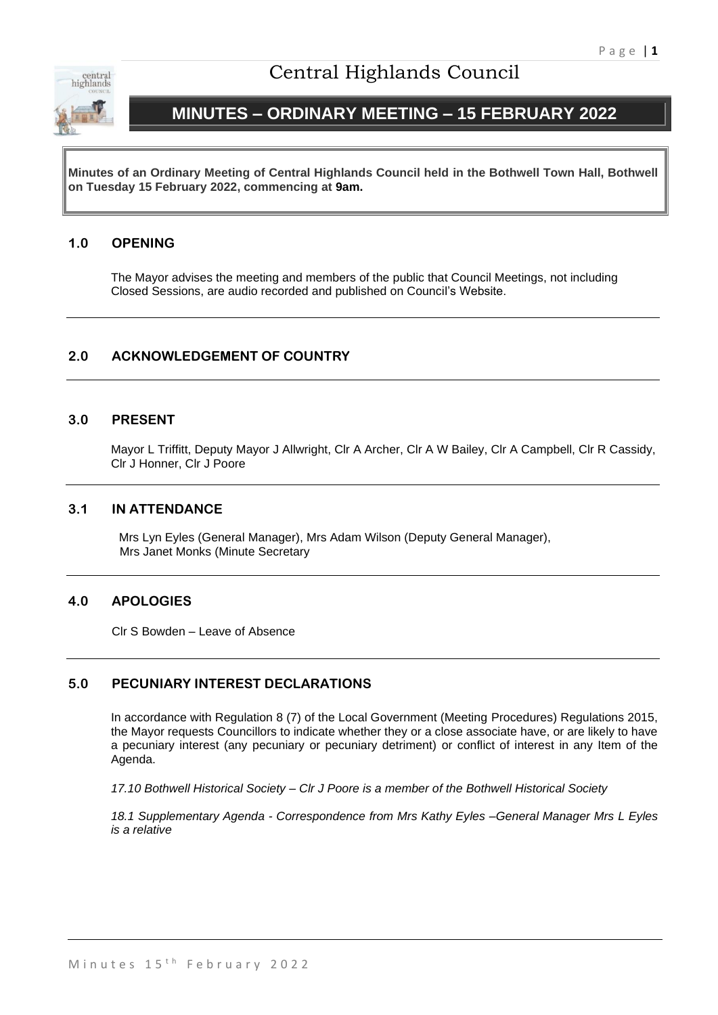

# Central Highlands Council

# **MINUTES – ORDINARY MEETING – 15 FEBRUARY 2022**

**Minutes of an Ordinary Meeting of Central Highlands Council held in the Bothwell Town Hall, Bothwell on Tuesday 15 February 2022, commencing at 9am.**

## **1.0 OPENING**

The Mayor advises the meeting and members of the public that Council Meetings, not including Closed Sessions, are audio recorded and published on Council's Website.

## **2.0 ACKNOWLEDGEMENT OF COUNTRY**

### **3.0 PRESENT**

Mayor L Triffitt, Deputy Mayor J Allwright, Clr A Archer, Clr A W Bailey, Clr A Campbell, Clr R Cassidy, Clr J Honner, Clr J Poore

### **3.1 IN ATTENDANCE**

Mrs Lyn Eyles (General Manager), Mrs Adam Wilson (Deputy General Manager), Mrs Janet Monks (Minute Secretary

### **4.0 APOLOGIES**

Clr S Bowden – Leave of Absence

### **5.0 PECUNIARY INTEREST DECLARATIONS**

In accordance with Regulation 8 (7) of the Local Government (Meeting Procedures) Regulations 2015, the Mayor requests Councillors to indicate whether they or a close associate have, or are likely to have a pecuniary interest (any pecuniary or pecuniary detriment) or conflict of interest in any Item of the Agenda.

*17.10 Bothwell Historical Society – Clr J Poore is a member of the Bothwell Historical Society*

*18.1 Supplementary Agenda - Correspondence from Mrs Kathy Eyles –General Manager Mrs L Eyles is a relative*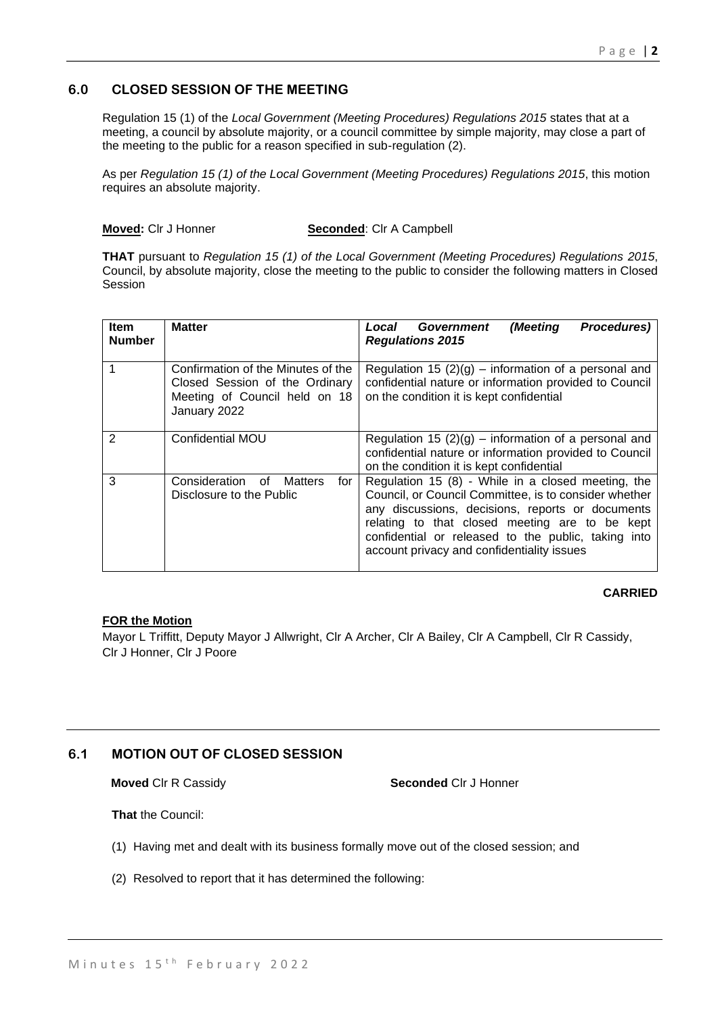## **6.0 CLOSED SESSION OF THE MEETING**

Regulation 15 (1) of the *Local Government (Meeting Procedures) Regulations 2015* states that at a meeting, a council by absolute majority, or a council committee by simple majority, may close a part of the meeting to the public for a reason specified in sub-regulation (2).

As per *Regulation 15 (1) of the Local Government (Meeting Procedures) Regulations 2015*, this motion requires an absolute majority.

**Moved:** Clr J Honner **Seconded**: Clr A Campbell

**THAT** pursuant to *Regulation 15 (1) of the Local Government (Meeting Procedures) Regulations 2015*, Council, by absolute majority, close the meeting to the public to consider the following matters in Closed Session

| <b>Item</b><br><b>Number</b> | <b>Matter</b>                                                                                                         | Government<br>(Meeting<br>Procedures)<br>Local<br><b>Regulations 2015</b>                                                                                                                                                                                                                                              |
|------------------------------|-----------------------------------------------------------------------------------------------------------------------|------------------------------------------------------------------------------------------------------------------------------------------------------------------------------------------------------------------------------------------------------------------------------------------------------------------------|
|                              | Confirmation of the Minutes of the<br>Closed Session of the Ordinary<br>Meeting of Council held on 18<br>January 2022 | Regulation 15 $(2)(g)$ – information of a personal and<br>confidential nature or information provided to Council<br>on the condition it is kept confidential                                                                                                                                                           |
| $\mathcal{P}$                | <b>Confidential MOU</b>                                                                                               | Regulation 15 $(2)(g)$ – information of a personal and<br>confidential nature or information provided to Council<br>on the condition it is kept confidential                                                                                                                                                           |
| 3                            | Consideration<br>for<br>of<br>Matters<br>Disclosure to the Public                                                     | Regulation 15 (8) - While in a closed meeting, the<br>Council, or Council Committee, is to consider whether<br>any discussions, decisions, reports or documents<br>relating to that closed meeting are to be kept<br>confidential or released to the public, taking into<br>account privacy and confidentiality issues |

### **CARRIED**

### **FOR the Motion**

Mayor L Triffitt, Deputy Mayor J Allwright, Clr A Archer, Clr A Bailey, Clr A Campbell, Clr R Cassidy, Clr J Honner, Clr J Poore

## **6.1 MOTION OUT OF CLOSED SESSION**

**Moved** Clr R Cassidy **Seconded** Clr J Honner

**That** the Council:

- (1) Having met and dealt with its business formally move out of the closed session; and
- (2) Resolved to report that it has determined the following: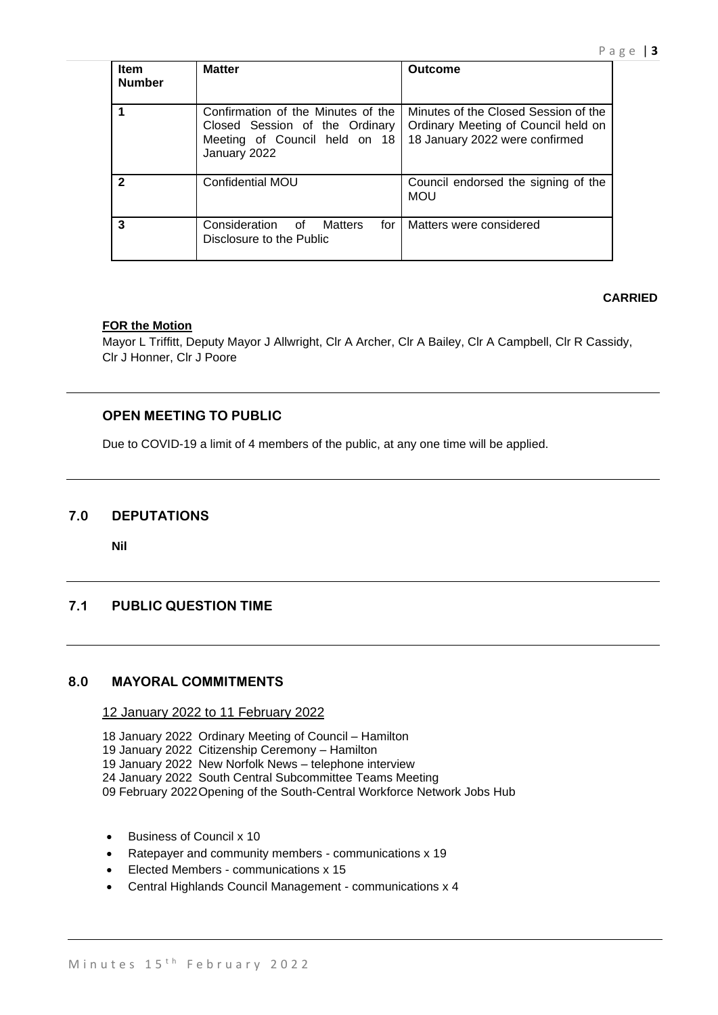| <b>Item</b><br><b>Number</b> | <b>Matter</b>                                                                                                         | Outcome                                                                                                       |
|------------------------------|-----------------------------------------------------------------------------------------------------------------------|---------------------------------------------------------------------------------------------------------------|
|                              | Confirmation of the Minutes of the<br>Closed Session of the Ordinary<br>Meeting of Council held on 18<br>January 2022 | Minutes of the Closed Session of the<br>Ordinary Meeting of Council held on<br>18 January 2022 were confirmed |
|                              | <b>Confidential MOU</b>                                                                                               | Council endorsed the signing of the<br><b>MOU</b>                                                             |
| 3                            | Consideration of Matters<br>for l<br>Disclosure to the Public                                                         | Matters were considered                                                                                       |

## **CARRIED**

## **FOR the Motion**

Mayor L Triffitt, Deputy Mayor J Allwright, Clr A Archer, Clr A Bailey, Clr A Campbell, Clr R Cassidy, Clr J Honner, Clr J Poore

## **OPEN MEETING TO PUBLIC**

Due to COVID-19 a limit of 4 members of the public, at any one time will be applied.

## **7.0 DEPUTATIONS**

**Nil**

## **7.1 PUBLIC QUESTION TIME**

## **8.0 MAYORAL COMMITMENTS**

### 12 January 2022 to 11 February 2022

18 January 2022 Ordinary Meeting of Council – Hamilton

- 19 January 2022 Citizenship Ceremony Hamilton
- 19 January 2022 New Norfolk News telephone interview
- 24 January 2022 South Central Subcommittee Teams Meeting
- 09 February 2022Opening of the South-Central Workforce Network Jobs Hub
- Business of Council x 10
- Ratepayer and community members communications x 19
- Elected Members communications x 15
- Central Highlands Council Management communications x 4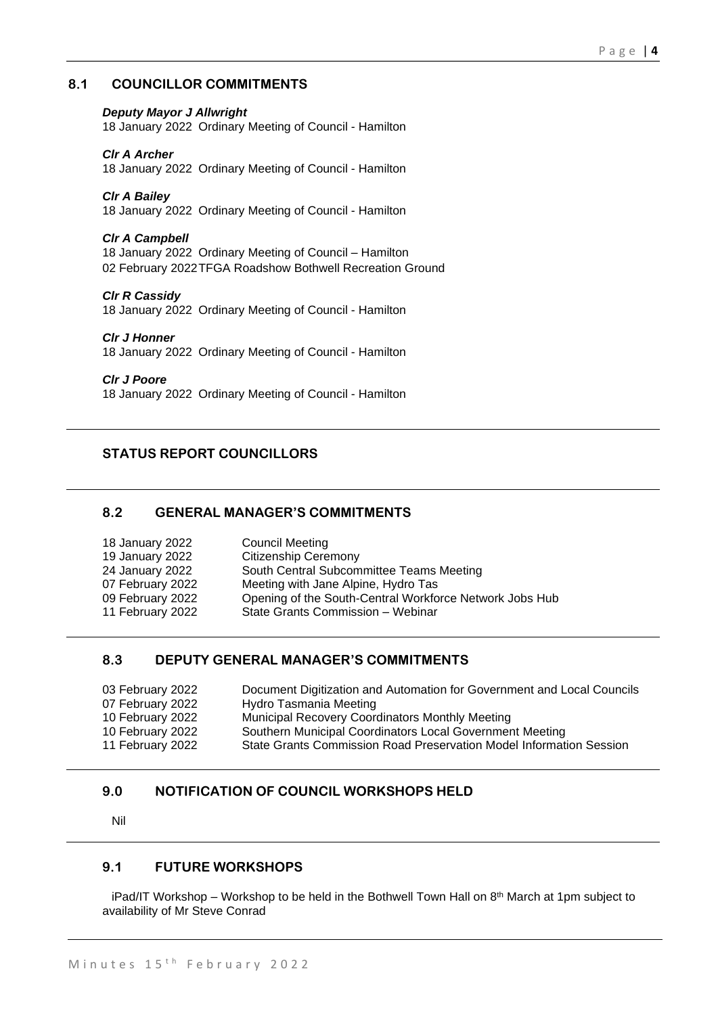## **8.1 COUNCILLOR COMMITMENTS**

#### *Deputy Mayor J Allwright*

18 January 2022 Ordinary Meeting of Council - Hamilton

#### *Clr A Archer*

18 January 2022 Ordinary Meeting of Council - Hamilton

#### *Clr A Bailey*

18 January 2022 Ordinary Meeting of Council - Hamilton

#### *Clr A Campbell*

18 January 2022 Ordinary Meeting of Council – Hamilton 02 February 2022TFGA Roadshow Bothwell Recreation Ground

#### *Clr R Cassidy*

18 January 2022 Ordinary Meeting of Council - Hamilton

#### *Clr J Honner*

18 January 2022 Ordinary Meeting of Council - Hamilton

#### *Clr J Poore*

18 January 2022 Ordinary Meeting of Council - Hamilton

## **STATUS REPORT COUNCILLORS**

### **8.2 GENERAL MANAGER'S COMMITMENTS**

| <b>Council Meeting</b>                                  |
|---------------------------------------------------------|
| <b>Citizenship Ceremony</b>                             |
| South Central Subcommittee Teams Meeting                |
| Meeting with Jane Alpine, Hydro Tas                     |
| Opening of the South-Central Workforce Network Jobs Hub |
| State Grants Commission - Webinar                       |
|                                                         |

### **8.3 DEPUTY GENERAL MANAGER'S COMMITMENTS**

| 03 February 2022 | Document Digitization and Automation for Government and Local Councils |
|------------------|------------------------------------------------------------------------|
| 07 February 2022 | Hydro Tasmania Meeting                                                 |
| 10 February 2022 | <b>Municipal Recovery Coordinators Monthly Meeting</b>                 |
| 10 February 2022 | Southern Municipal Coordinators Local Government Meeting               |
| 11 February 2022 | State Grants Commission Road Preservation Model Information Session    |

## **9.0 NOTIFICATION OF COUNCIL WORKSHOPS HELD**

Nil

## **9.1 FUTURE WORKSHOPS**

iPad/IT Workshop – Workshop to be held in the Bothwell Town Hall on  $8<sup>th</sup>$  March at 1pm subject to availability of Mr Steve Conrad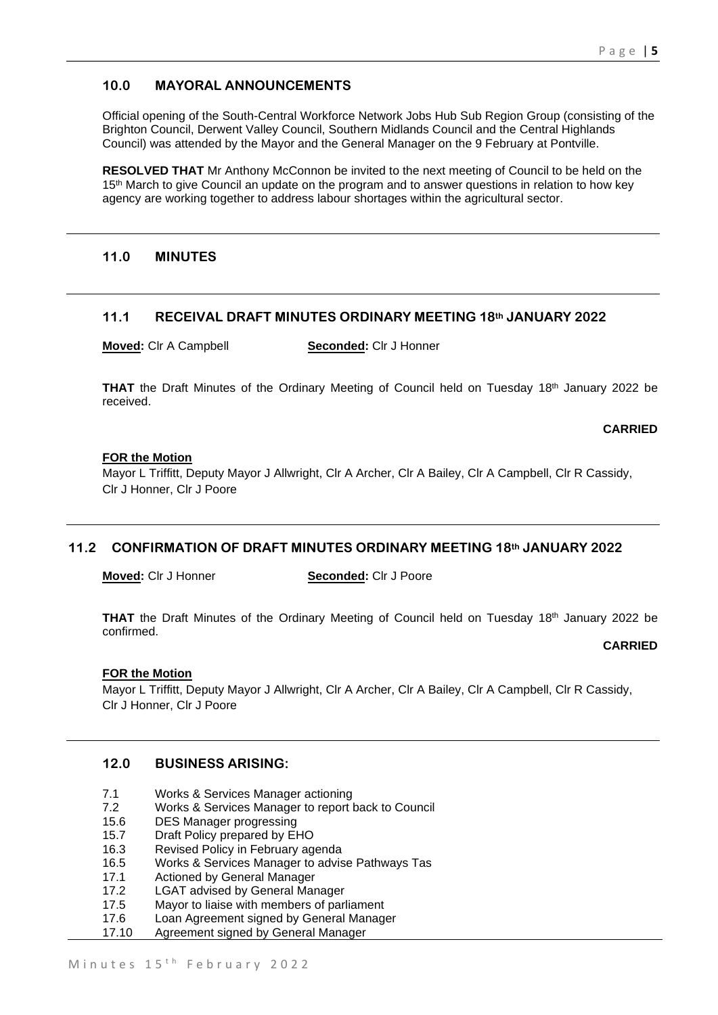## **10.0 MAYORAL ANNOUNCEMENTS**

Official opening of the South-Central Workforce Network Jobs Hub Sub Region Group (consisting of the Brighton Council, Derwent Valley Council, Southern Midlands Council and the Central Highlands Council) was attended by the Mayor and the General Manager on the 9 February at Pontville.

**RESOLVED THAT** Mr Anthony McConnon be invited to the next meeting of Council to be held on the 15<sup>th</sup> March to give Council an update on the program and to answer questions in relation to how key agency are working together to address labour shortages within the agricultural sector.

### **11.0 MINUTES**

### **11.1 RECEIVAL DRAFT MINUTES ORDINARY MEETING 18th JANUARY 2022**

**Moved:** Clr A Campbell **Seconded:** Clr J Honner

THAT the Draft Minutes of the Ordinary Meeting of Council held on Tuesday 18<sup>th</sup> January 2022 be received.

### **CARRIED**

### **FOR the Motion**

Mayor L Triffitt, Deputy Mayor J Allwright, Clr A Archer, Clr A Bailey, Clr A Campbell, Clr R Cassidy, Clr J Honner, Clr J Poore

### **11.2 CONFIRMATION OF DRAFT MINUTES ORDINARY MEETING 18th JANUARY 2022**

**Moved:** Clr J Honner **Seconded:** Clr J Poore

THAT the Draft Minutes of the Ordinary Meeting of Council held on Tuesday 18<sup>th</sup> January 2022 be confirmed.

#### **CARRIED**

### **FOR the Motion**

Mayor L Triffitt, Deputy Mayor J Allwright, Clr A Archer, Clr A Bailey, Clr A Campbell, Clr R Cassidy, Clr J Honner, Clr J Poore

## **12.0 BUSINESS ARISING:**

- 7.1 Works & Services Manager actioning
- 7.2 Works & Services Manager to report back to Council
- 15.6 DES Manager progressing
- 15.7 Draft Policy prepared by EHO
- 16.3 Revised Policy in February agenda
- 16.5 Works & Services Manager to advise Pathways Tas
- 17.1 Actioned by General Manager
- 17.2 LGAT advised by General Manager
- 17.5 Mayor to liaise with members of parliament
- 17.6 Loan Agreement signed by General Manager<br>17.10 Agreement signed by General Manager
- Agreement signed by General Manager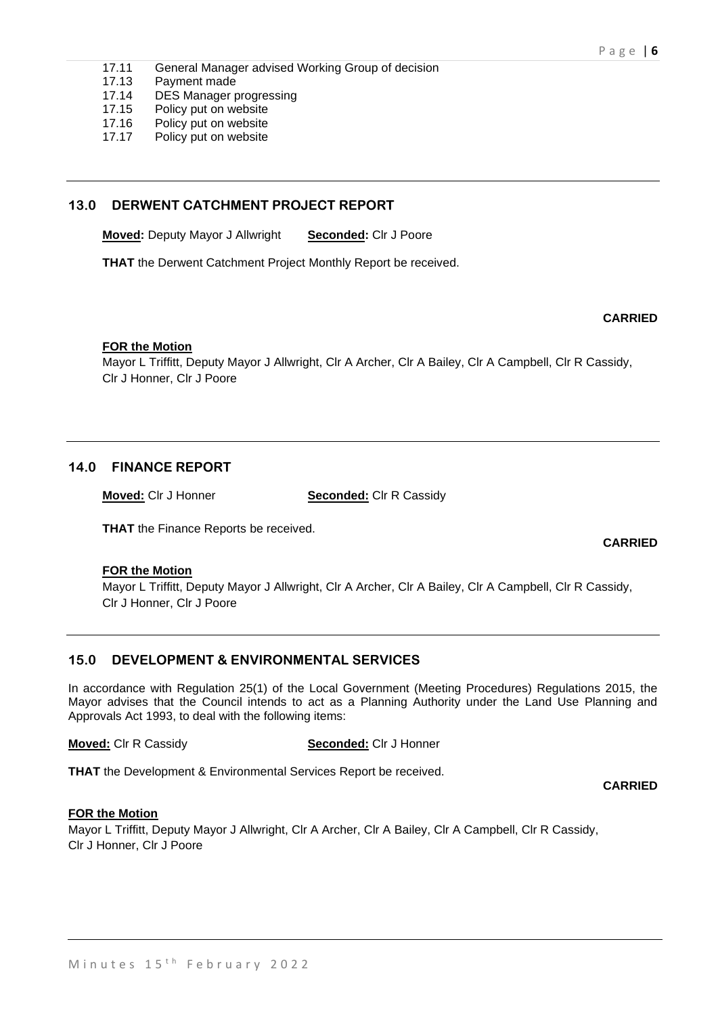- 17.11 General Manager advised Working Group of decision
- 17.13 Payment made
- 17.14 DES Manager progressing
- 17.15 Policy put on website
- 17.16 Policy put on website<br>17.17 Policy put on website
- Policy put on website

## **13.0 DERWENT CATCHMENT PROJECT REPORT**

**Moved:** Deputy Mayor J Allwright **Seconded:** Clr J Poore

**THAT** the Derwent Catchment Project Monthly Report be received.

### **CARRIED**

**CARRIED**

### **FOR the Motion**

Mayor L Triffitt, Deputy Mayor J Allwright, Clr A Archer, Clr A Bailey, Clr A Campbell, Clr R Cassidy, Clr J Honner, Clr J Poore

## **14.0 FINANCE REPORT**

**Moved:** Clr J Honner **Seconded:** Clr R Cassidy

**THAT** the Finance Reports be received.

### **FOR the Motion**

Mayor L Triffitt, Deputy Mayor J Allwright, Clr A Archer, Clr A Bailey, Clr A Campbell, Clr R Cassidy, Clr J Honner, Clr J Poore

## **15.0 DEVELOPMENT & ENVIRONMENTAL SERVICES**

In accordance with Regulation 25(1) of the Local Government (Meeting Procedures) Regulations 2015, the Mayor advises that the Council intends to act as a Planning Authority under the Land Use Planning and Approvals Act 1993, to deal with the following items:

**Moved:** Clr R Cassidy **Seconded:** Clr J Honner

**THAT** the Development & Environmental Services Report be received.

**CARRIED**

### **FOR the Motion**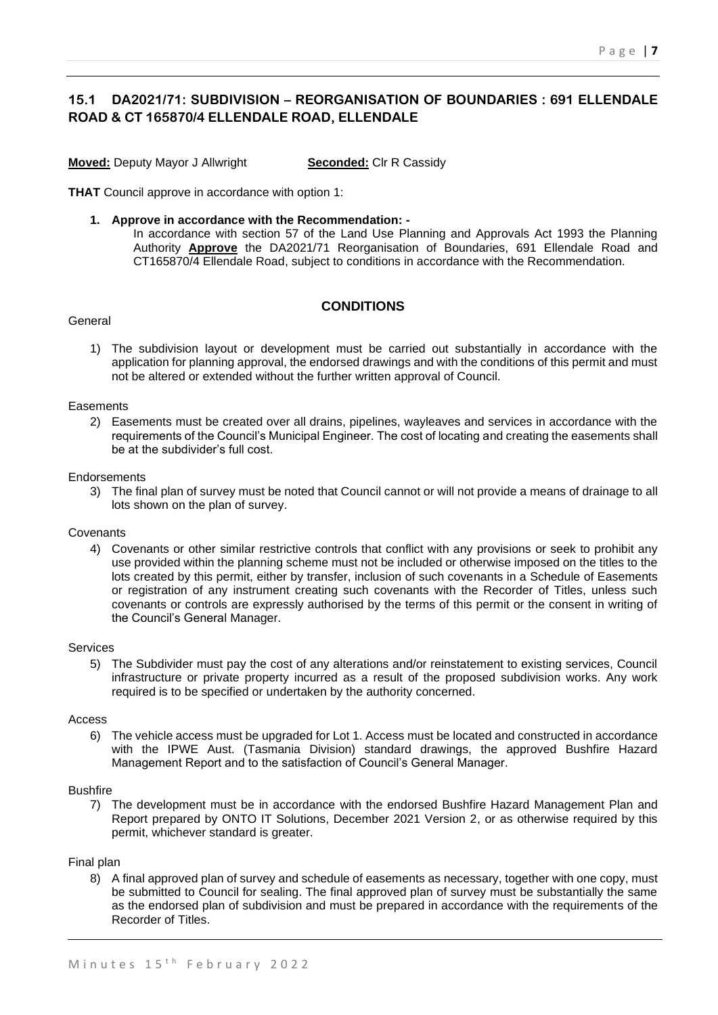## **15.1 DA2021/71: SUBDIVISION – REORGANISATION OF BOUNDARIES : 691 ELLENDALE ROAD & CT 165870/4 ELLENDALE ROAD, ELLENDALE**

**Moved:** Deputy Mayor J Allwright **Seconded:** Clr R Cassidy

**THAT** Council approve in accordance with option 1:

- **1. Approve in accordance with the Recommendation: -**
	- In accordance with section 57 of the Land Use Planning and Approvals Act 1993 the Planning Authority **Approve** the DA2021/71 Reorganisation of Boundaries, 691 Ellendale Road and CT165870/4 Ellendale Road, subject to conditions in accordance with the Recommendation.

### **CONDITIONS**

#### General

1) The subdivision layout or development must be carried out substantially in accordance with the application for planning approval, the endorsed drawings and with the conditions of this permit and must not be altered or extended without the further written approval of Council.

#### **Easements**

2) Easements must be created over all drains, pipelines, wayleaves and services in accordance with the requirements of the Council's Municipal Engineer. The cost of locating and creating the easements shall be at the subdivider's full cost.

#### **Endorsements**

3) The final plan of survey must be noted that Council cannot or will not provide a means of drainage to all lots shown on the plan of survey.

#### Covenants

4) Covenants or other similar restrictive controls that conflict with any provisions or seek to prohibit any use provided within the planning scheme must not be included or otherwise imposed on the titles to the lots created by this permit, either by transfer, inclusion of such covenants in a Schedule of Easements or registration of any instrument creating such covenants with the Recorder of Titles, unless such covenants or controls are expressly authorised by the terms of this permit or the consent in writing of the Council's General Manager.

#### Services

5) The Subdivider must pay the cost of any alterations and/or reinstatement to existing services, Council infrastructure or private property incurred as a result of the proposed subdivision works. Any work required is to be specified or undertaken by the authority concerned.

#### Access

6) The vehicle access must be upgraded for Lot 1. Access must be located and constructed in accordance with the IPWE Aust. (Tasmania Division) standard drawings, the approved Bushfire Hazard Management Report and to the satisfaction of Council's General Manager.

#### **Bushfire**

7) The development must be in accordance with the endorsed Bushfire Hazard Management Plan and Report prepared by ONTO IT Solutions, December 2021 Version 2, or as otherwise required by this permit, whichever standard is greater.

#### Final plan

8) A final approved plan of survey and schedule of easements as necessary, together with one copy, must be submitted to Council for sealing. The final approved plan of survey must be substantially the same as the endorsed plan of subdivision and must be prepared in accordance with the requirements of the Recorder of Titles.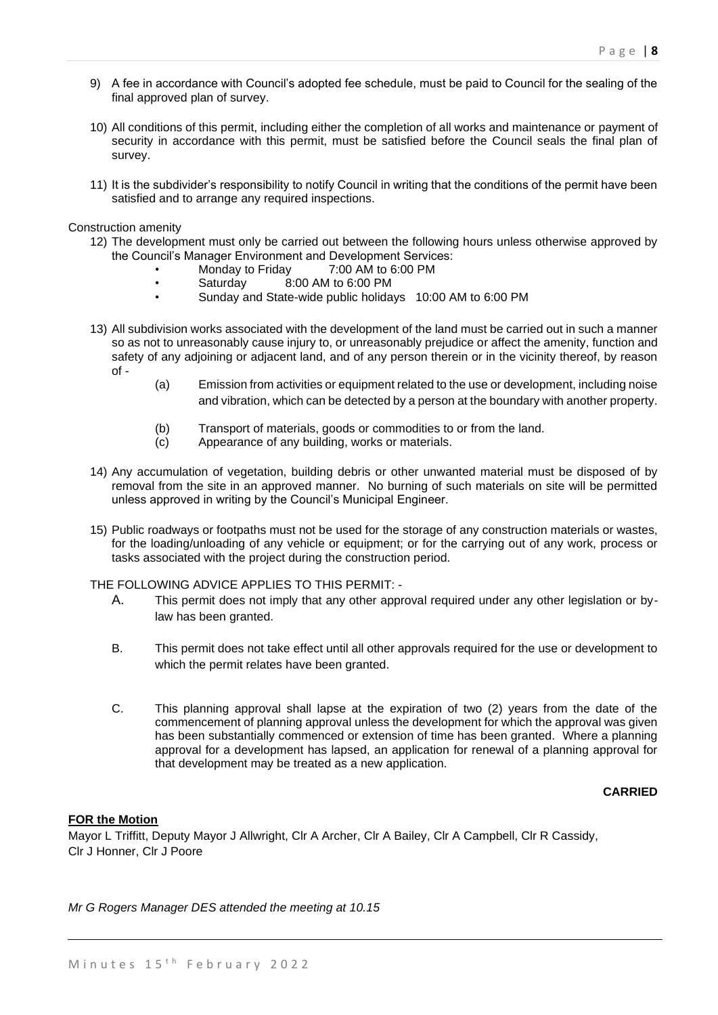- 9) A fee in accordance with Council's adopted fee schedule, must be paid to Council for the sealing of the final approved plan of survey.
- 10) All conditions of this permit, including either the completion of all works and maintenance or payment of security in accordance with this permit, must be satisfied before the Council seals the final plan of survey.
- 11) It is the subdivider's responsibility to notify Council in writing that the conditions of the permit have been satisfied and to arrange any required inspections.

Construction amenity

- 12) The development must only be carried out between the following hours unless otherwise approved by the Council's Manager Environment and Development Services:
	- Monday to Friday 7:00 AM to 6:00 PM
	- Saturday 8:00 AM to 6:00 PM
	- Sunday and State-wide public holidays 10:00 AM to 6:00 PM
- 13) All subdivision works associated with the development of the land must be carried out in such a manner so as not to unreasonably cause injury to, or unreasonably prejudice or affect the amenity, function and safety of any adjoining or adjacent land, and of any person therein or in the vicinity thereof, by reason of -
	- (a) Emission from activities or equipment related to the use or development, including noise and vibration, which can be detected by a person at the boundary with another property.
	- (b) Transport of materials, goods or commodities to or from the land.
	- (c) Appearance of any building, works or materials.
- 14) Any accumulation of vegetation, building debris or other unwanted material must be disposed of by removal from the site in an approved manner. No burning of such materials on site will be permitted unless approved in writing by the Council's Municipal Engineer.
- 15) Public roadways or footpaths must not be used for the storage of any construction materials or wastes, for the loading/unloading of any vehicle or equipment; or for the carrying out of any work, process or tasks associated with the project during the construction period.

THE FOLLOWING ADVICE APPLIES TO THIS PERMIT: -

- A. This permit does not imply that any other approval required under any other legislation or bylaw has been granted.
- B. This permit does not take effect until all other approvals required for the use or development to which the permit relates have been granted.
- C. This planning approval shall lapse at the expiration of two (2) years from the date of the commencement of planning approval unless the development for which the approval was given has been substantially commenced or extension of time has been granted. Where a planning approval for a development has lapsed, an application for renewal of a planning approval for that development may be treated as a new application.

### **CARRIED**

#### **FOR the Motion**

Mayor L Triffitt, Deputy Mayor J Allwright, Clr A Archer, Clr A Bailey, Clr A Campbell, Clr R Cassidy, Clr J Honner, Clr J Poore

*Mr G Rogers Manager DES attended the meeting at 10.15*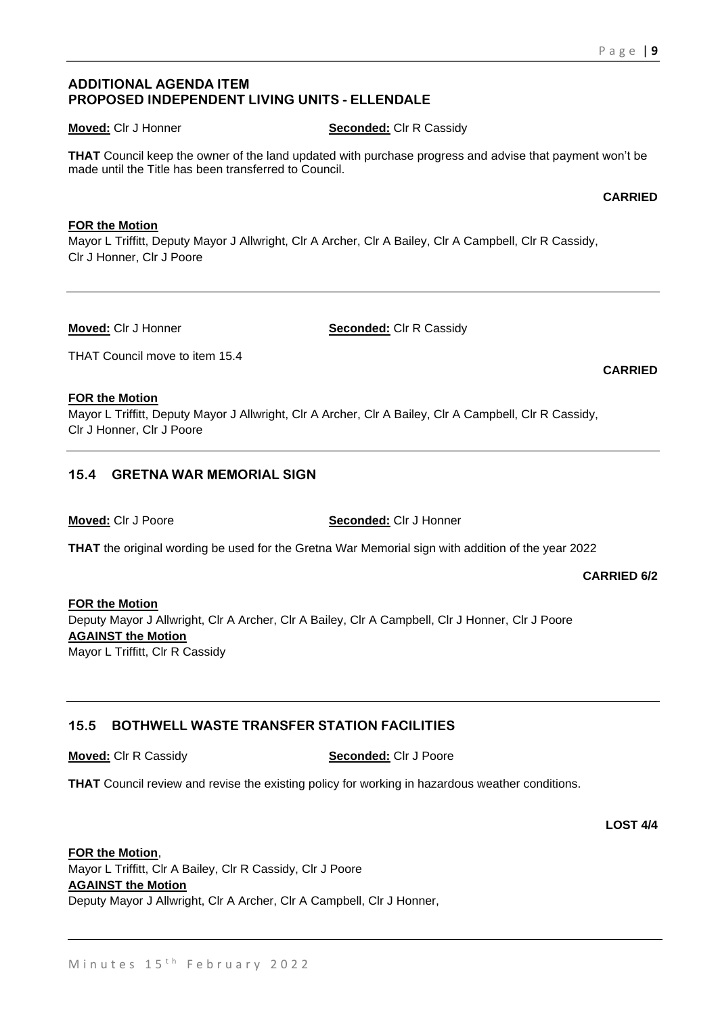## **ADDITIONAL AGENDA ITEM PROPOSED INDEPENDENT LIVING UNITS - ELLENDALE**

### **Moved:** CIr J Honner **Seconded:** CIr R Cassidy

**THAT** Council keep the owner of the land updated with purchase progress and advise that payment won't be made until the Title has been transferred to Council.

### **FOR the Motion**

Mayor L Triffitt, Deputy Mayor J Allwright, Clr A Archer, Clr A Bailey, Clr A Campbell, Clr R Cassidy, Clr J Honner, Clr J Poore

**Moved:** Clr J Honner **Seconded:** Clr R Cassidy

THAT Council move to item 15.4

### **FOR the Motion**

Mayor L Triffitt, Deputy Mayor J Allwright, Clr A Archer, Clr A Bailey, Clr A Campbell, Clr R Cassidy, Clr J Honner, Clr J Poore

## **15.4 GRETNA WAR MEMORIAL SIGN**

**Moved:** Clr J Poore **Seconded:** Clr J Honner

**THAT** the original wording be used for the Gretna War Memorial sign with addition of the year 2022

**CARRIED 6/2**

**FOR the Motion** Deputy Mayor J Allwright, Clr A Archer, Clr A Bailey, Clr A Campbell, Clr J Honner, Clr J Poore **AGAINST the Motion** Mayor L Triffitt, Clr R Cassidy

## **15.5 BOTHWELL WASTE TRANSFER STATION FACILITIES**

**Moved:** Clr R Cassidy **Seconded:** Clr J Poore

**THAT** Council review and revise the existing policy for working in hazardous weather conditions.

### **FOR the Motion**,

Mayor L Triffitt, Clr A Bailey, Clr R Cassidy, Clr J Poore **AGAINST the Motion** Deputy Mayor J Allwright, Clr A Archer, Clr A Campbell, Clr J Honner,

#### **CARRIED**

**CARRIED**

**LOST 4/4**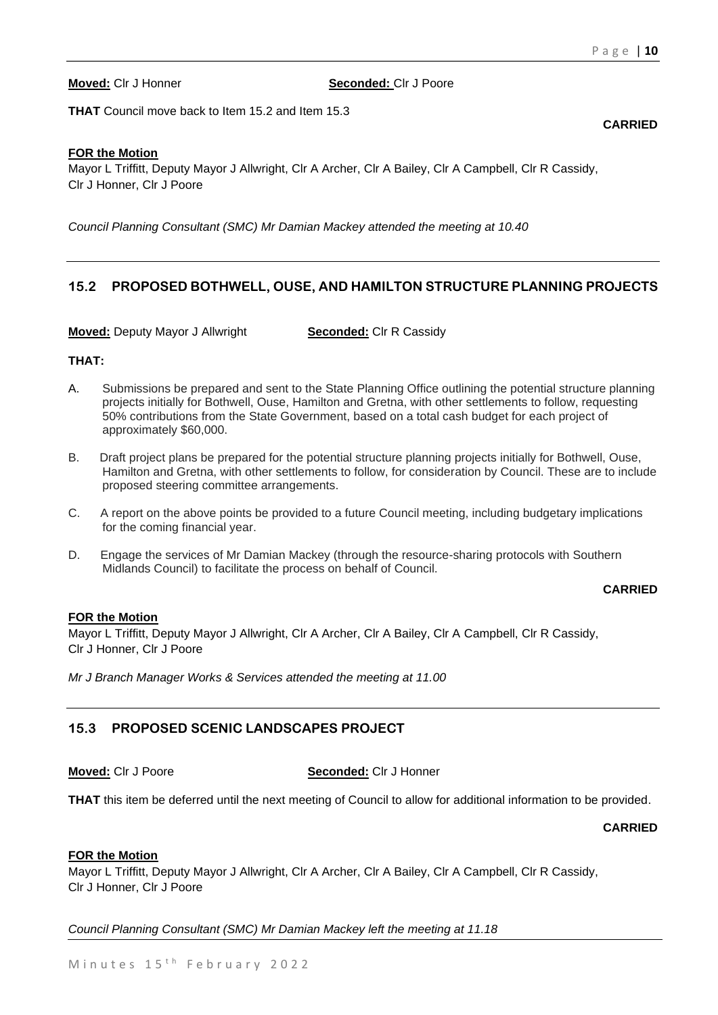**CARRIED**

#### **Moved:** Clr J Honner **Seconded:** Clr J Poore

**THAT** Council move back to Item 15.2 and Item 15.3

#### **FOR the Motion**

Mayor L Triffitt, Deputy Mayor J Allwright, Clr A Archer, Clr A Bailey, Clr A Campbell, Clr R Cassidy, Clr J Honner, Clr J Poore

*Council Planning Consultant (SMC) Mr Damian Mackey attended the meeting at 10.40*

## **15.2 PROPOSED BOTHWELL, OUSE, AND HAMILTON STRUCTURE PLANNING PROJECTS**

**Moved:** Deputy Mayor J Allwright **Seconded:** Clr R Cassidy

### **THAT:**

- A. Submissions be prepared and sent to the State Planning Office outlining the potential structure planning projects initially for Bothwell, Ouse, Hamilton and Gretna, with other settlements to follow, requesting 50% contributions from the State Government, based on a total cash budget for each project of approximately \$60,000.
- B. Draft project plans be prepared for the potential structure planning projects initially for Bothwell, Ouse, Hamilton and Gretna, with other settlements to follow, for consideration by Council. These are to include proposed steering committee arrangements.
- C. A report on the above points be provided to a future Council meeting, including budgetary implications for the coming financial year.
- D. Engage the services of Mr Damian Mackey (through the resource-sharing protocols with Southern Midlands Council) to facilitate the process on behalf of Council.

### **CARRIED**

### **FOR the Motion**

Mayor L Triffitt, Deputy Mayor J Allwright, Clr A Archer, Clr A Bailey, Clr A Campbell, Clr R Cassidy, Clr J Honner, Clr J Poore

*Mr J Branch Manager Works & Services attended the meeting at 11.00*

## **15.3 PROPOSED SCENIC LANDSCAPES PROJECT**

#### **Moved:** Clr J Poore **Seconded:** Clr J Honner

**THAT** this item be deferred until the next meeting of Council to allow for additional information to be provided.

#### **CARRIED**

#### **FOR the Motion**

Mayor L Triffitt, Deputy Mayor J Allwright, Clr A Archer, Clr A Bailey, Clr A Campbell, Clr R Cassidy, Clr J Honner, Clr J Poore

*Council Planning Consultant (SMC) Mr Damian Mackey left the meeting at 11.18*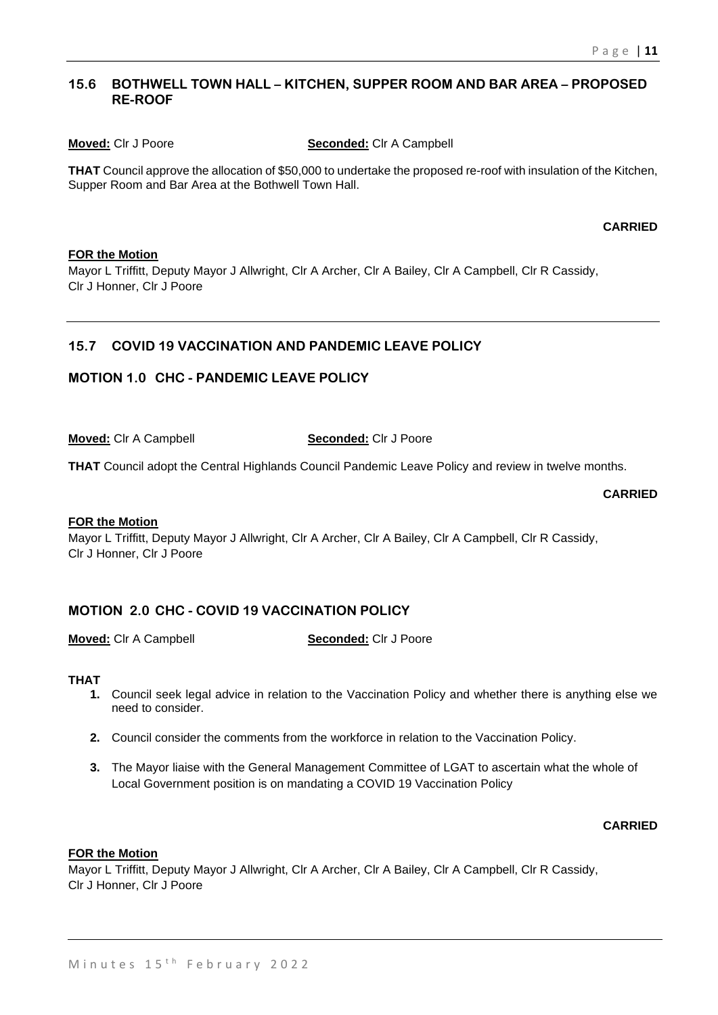## **15.6 BOTHWELL TOWN HALL – KITCHEN, SUPPER ROOM AND BAR AREA – PROPOSED RE-ROOF**

#### **Moved:** Clr J Poore **Seconded:** Clr A Campbell

**THAT** Council approve the allocation of \$50,000 to undertake the proposed re-roof with insulation of the Kitchen, Supper Room and Bar Area at the Bothwell Town Hall.

### **CARRIED**

### **FOR the Motion**

Mayor L Triffitt, Deputy Mayor J Allwright, Clr A Archer, Clr A Bailey, Clr A Campbell, Clr R Cassidy, Clr J Honner, Clr J Poore

### **15.7 COVID 19 VACCINATION AND PANDEMIC LEAVE POLICY**

## **MOTION 1.0 CHC - PANDEMIC LEAVE POLICY**

**Moved:** Clr A Campbell **Seconded:** Clr J Poore

**THAT** Council adopt the Central Highlands Council Pandemic Leave Policy and review in twelve months.

#### **CARRIED**

### **FOR the Motion**

Mayor L Triffitt, Deputy Mayor J Allwright, Clr A Archer, Clr A Bailey, Clr A Campbell, Clr R Cassidy, Clr J Honner, Clr J Poore

## **MOTION 2.0 CHC - COVID 19 VACCINATION POLICY**

**Moved:** Clr A Campbell **Seconded:** Clr J Poore

### **THAT**

- **1.** Council seek legal advice in relation to the Vaccination Policy and whether there is anything else we need to consider.
- **2.** Council consider the comments from the workforce in relation to the Vaccination Policy.
- **3.** The Mayor liaise with the General Management Committee of LGAT to ascertain what the whole of Local Government position is on mandating a COVID 19 Vaccination Policy

### **CARRIED**

#### **FOR the Motion**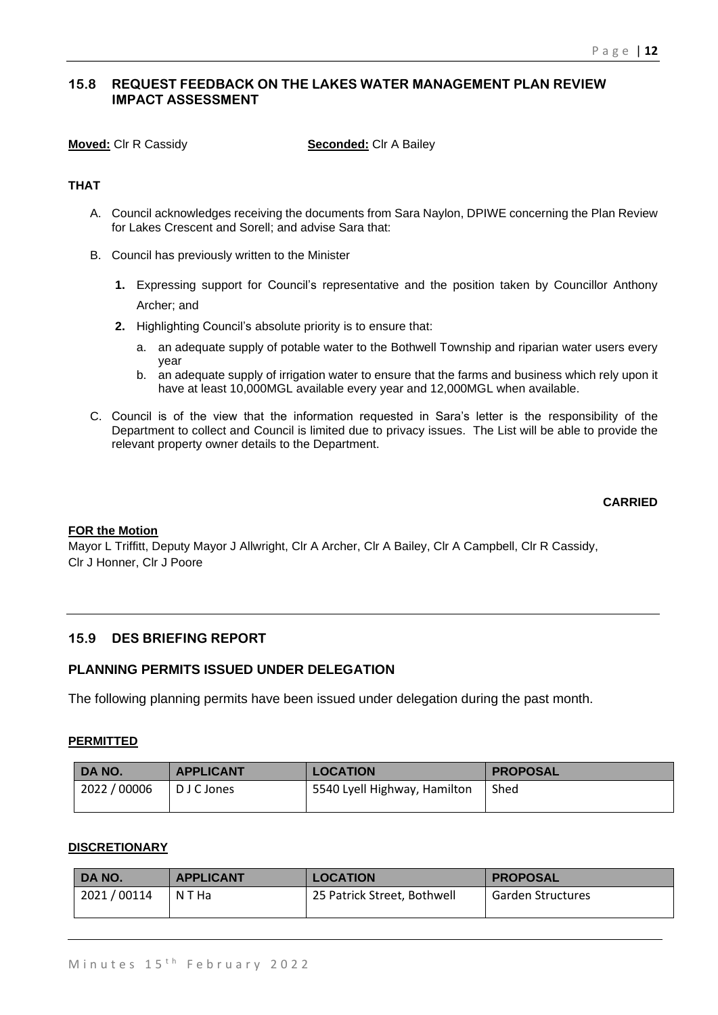## **15.8 REQUEST FEEDBACK ON THE LAKES WATER MANAGEMENT PLAN REVIEW IMPACT ASSESSMENT**

**Moved:** Clr R Cassidy **Seconded:** Clr A Bailey

## **THAT**

- A. Council acknowledges receiving the documents from Sara Naylon, DPIWE concerning the Plan Review for Lakes Crescent and Sorell; and advise Sara that:
- B. Council has previously written to the Minister
	- **1.** Expressing support for Council's representative and the position taken by Councillor Anthony Archer; and
	- **2.** Highlighting Council's absolute priority is to ensure that:
		- a. an adequate supply of potable water to the Bothwell Township and riparian water users every year
		- b. an adequate supply of irrigation water to ensure that the farms and business which rely upon it have at least 10,000MGL available every year and 12,000MGL when available.
- C. Council is of the view that the information requested in Sara's letter is the responsibility of the Department to collect and Council is limited due to privacy issues. The List will be able to provide the relevant property owner details to the Department.

### **CARRIED**

#### **FOR the Motion**

Mayor L Triffitt, Deputy Mayor J Allwright, Clr A Archer, Clr A Bailey, Clr A Campbell, Clr R Cassidy, Clr J Honner, Clr J Poore

### **15.9 DES BRIEFING REPORT**

### **PLANNING PERMITS ISSUED UNDER DELEGATION**

The following planning permits have been issued under delegation during the past month.

### **PERMITTED**

| DA NO.       | <b>APPLICANT</b> | <b>LOCATION</b>              | <b>PROPOSAL</b> |
|--------------|------------------|------------------------------|-----------------|
| 2022 / 00006 | D J C Jones      | 5540 Lyell Highway, Hamilton | Shed            |

#### **DISCRETIONARY**

| DA NO.     | <b>APPLICANT</b> | <b>LOCATION</b>             | <b>PROPOSAL</b>          |
|------------|------------------|-----------------------------|--------------------------|
| 2021/00114 | N T Ha           | 25 Patrick Street, Bothwell | <b>Garden Structures</b> |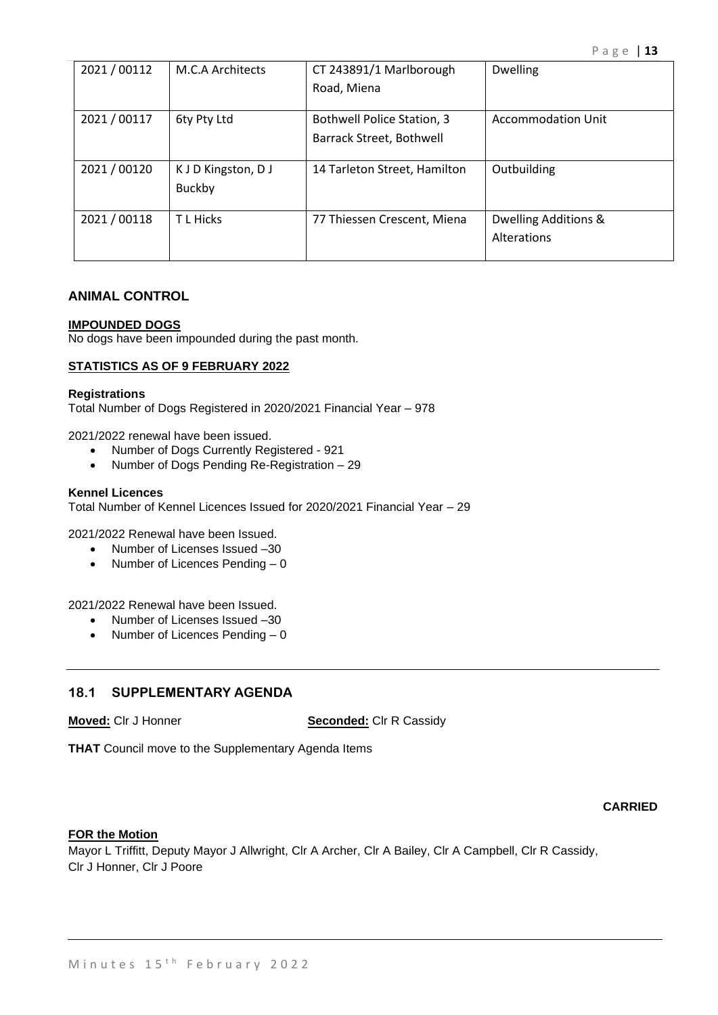| 2021/00112   | M.C.A Architects                     | CT 243891/1 Marlborough<br>Road, Miena                        | <b>Dwelling</b>                     |
|--------------|--------------------------------------|---------------------------------------------------------------|-------------------------------------|
| 2021 / 00117 | 6ty Pty Ltd                          | <b>Bothwell Police Station, 3</b><br>Barrack Street, Bothwell | <b>Accommodation Unit</b>           |
| 2021 / 00120 | K J D Kingston, D J<br><b>Buckby</b> | 14 Tarleton Street, Hamilton                                  | Outbuilding                         |
| 2021 / 00118 | T L Hicks                            | 77 Thiessen Crescent, Miena                                   | Dwelling Additions &<br>Alterations |

## **ANIMAL CONTROL**

#### **IMPOUNDED DOGS**

No dogs have been impounded during the past month.

### **STATISTICS AS OF 9 FEBRUARY 2022**

#### **Registrations**

Total Number of Dogs Registered in 2020/2021 Financial Year – 978

2021/2022 renewal have been issued.

- Number of Dogs Currently Registered 921
- Number of Dogs Pending Re-Registration 29

#### **Kennel Licences**

Total Number of Kennel Licences Issued for 2020/2021 Financial Year – 29

2021/2022 Renewal have been Issued.

- Number of Licenses Issued -30
- Number of Licences Pending 0

2021/2022 Renewal have been Issued.

- Number of Licenses Issued –30
- Number of Licences Pending 0

## **18.1 SUPPLEMENTARY AGENDA**

**Moved:** Clr J Honner **Seconded:** Clr R Cassidy

**THAT** Council move to the Supplementary Agenda Items

### **CARRIED**

### **FOR the Motion**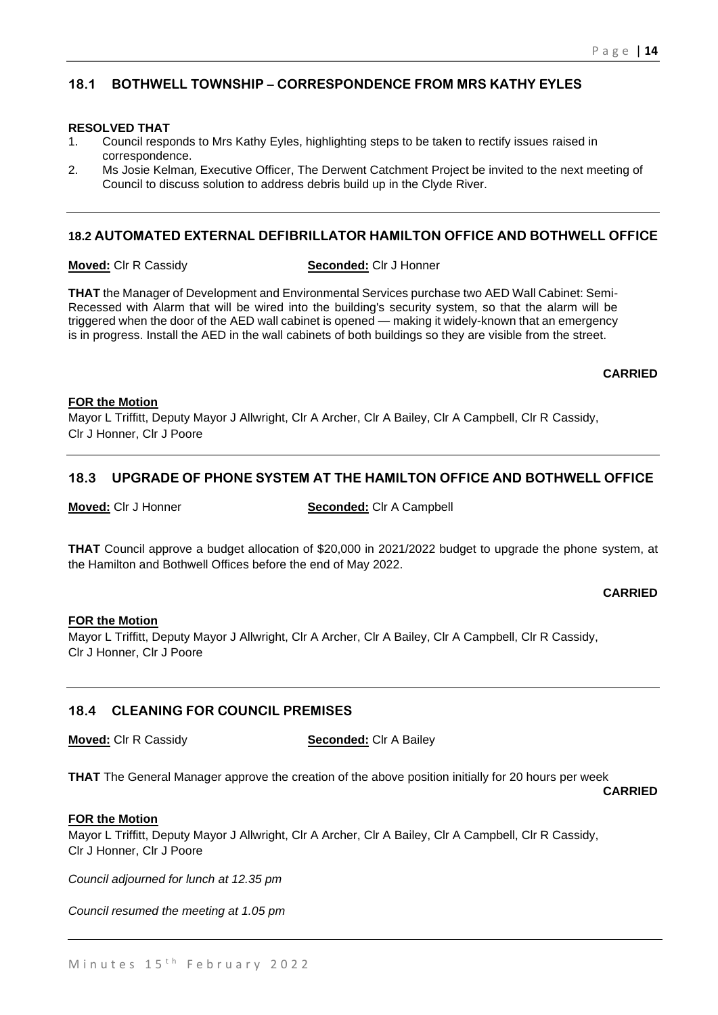## **18.1 BOTHWELL TOWNSHIP – CORRESPONDENCE FROM MRS KATHY EYLES**

### **RESOLVED THAT**

- 1. Council responds to Mrs Kathy Eyles, highlighting steps to be taken to rectify issues raised in correspondence.
- 2. Ms Josie Kelman, Executive Officer, The Derwent Catchment Project be invited to the next meeting of Council to discuss solution to address debris build up in the Clyde River.

## **18.2 AUTOMATED EXTERNAL DEFIBRILLATOR HAMILTON OFFICE AND BOTHWELL OFFICE**

#### **Moved:** Clr R Cassidy **Seconded:** Clr J Honner

**THAT** the Manager of Development and Environmental Services purchase two AED Wall Cabinet: Semi-Recessed with Alarm that will be wired into the building's security system, so that the alarm will be triggered when the door of the AED wall cabinet is opened — making it widely-known that an emergency is in progress. Install the AED in the wall cabinets of both buildings so they are visible from the street.

**CARRIED**

### **FOR the Motion**

Mayor L Triffitt, Deputy Mayor J Allwright, Clr A Archer, Clr A Bailey, Clr A Campbell, Clr R Cassidy, Clr J Honner, Clr J Poore

### **18.3 UPGRADE OF PHONE SYSTEM AT THE HAMILTON OFFICE AND BOTHWELL OFFICE**

#### **Moved:** Clr J Honner **Seconded:** Clr A Campbell

**THAT** Council approve a budget allocation of \$20,000 in 2021/2022 budget to upgrade the phone system, at the Hamilton and Bothwell Offices before the end of May 2022.

#### **CARRIED**

### **FOR the Motion**

Mayor L Triffitt, Deputy Mayor J Allwright, Clr A Archer, Clr A Bailey, Clr A Campbell, Clr R Cassidy, Clr J Honner, Clr J Poore

## **18.4 CLEANING FOR COUNCIL PREMISES**

**Moved:** Clr R Cassidy **Seconded:** Clr A Bailey

**THAT** The General Manager approve the creation of the above position initially for 20 hours per week

**CARRIED**

#### **FOR the Motion**

Mayor L Triffitt, Deputy Mayor J Allwright, Clr A Archer, Clr A Bailey, Clr A Campbell, Clr R Cassidy, Clr J Honner, Clr J Poore

*Council adjourned for lunch at 12.35 pm*

*Council resumed the meeting at 1.05 pm*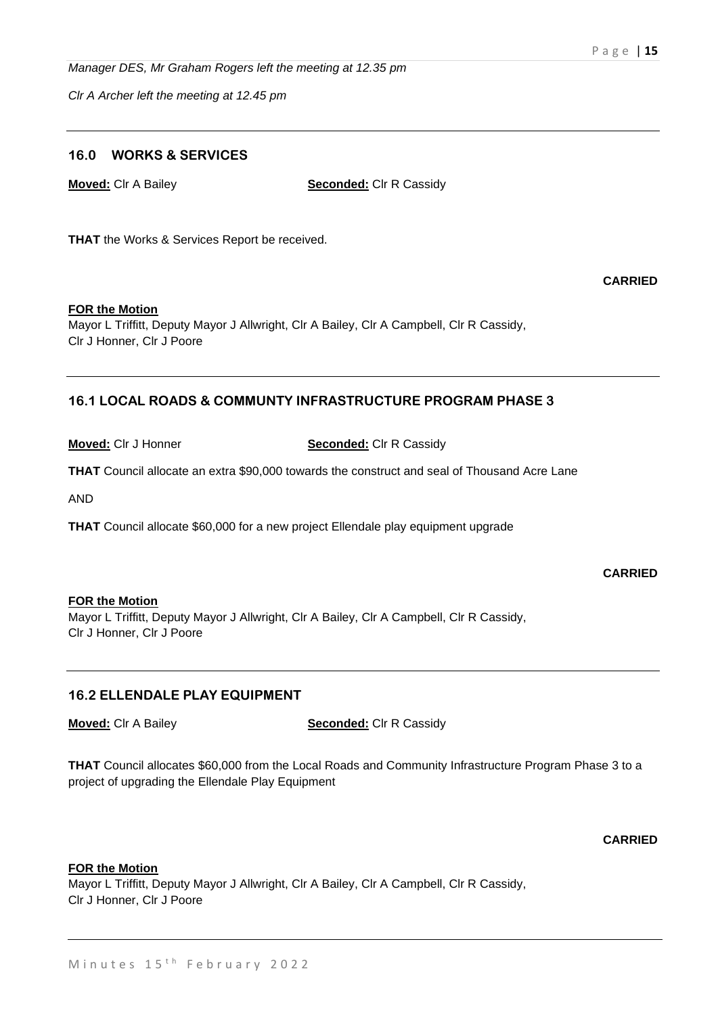*Manager DES, Mr Graham Rogers left the meeting at 12.35 pm*

*Clr A Archer left the meeting at 12.45 pm*

## **16.0 WORKS & SERVICES**

**Moved:** Clr A Bailey **Seconded:** Clr R Cassidy

**THAT** the Works & Services Report be received.

**CARRIED**

### **FOR the Motion**

Mayor L Triffitt, Deputy Mayor J Allwright, Clr A Bailey, Clr A Campbell, Clr R Cassidy, Clr J Honner, Clr J Poore

### **16.1 LOCAL ROADS & COMMUNTY INFRASTRUCTURE PROGRAM PHASE 3**

**Moved:** Clr J Honner **Seconded:** Clr R Cassidy

**THAT** Council allocate an extra \$90,000 towards the construct and seal of Thousand Acre Lane

AND

**THAT** Council allocate \$60,000 for a new project Ellendale play equipment upgrade

**CARRIED**

#### **FOR the Motion**

Mayor L Triffitt, Deputy Mayor J Allwright, Clr A Bailey, Clr A Campbell, Clr R Cassidy, Clr J Honner, Clr J Poore

### **16.2 ELLENDALE PLAY EQUIPMENT**

**Moved:** Clr A Bailey **Seconded:** Clr R Cassidy

**THAT** Council allocates \$60,000 from the Local Roads and Community Infrastructure Program Phase 3 to a project of upgrading the Ellendale Play Equipment

### **CARRIED**

#### **FOR the Motion**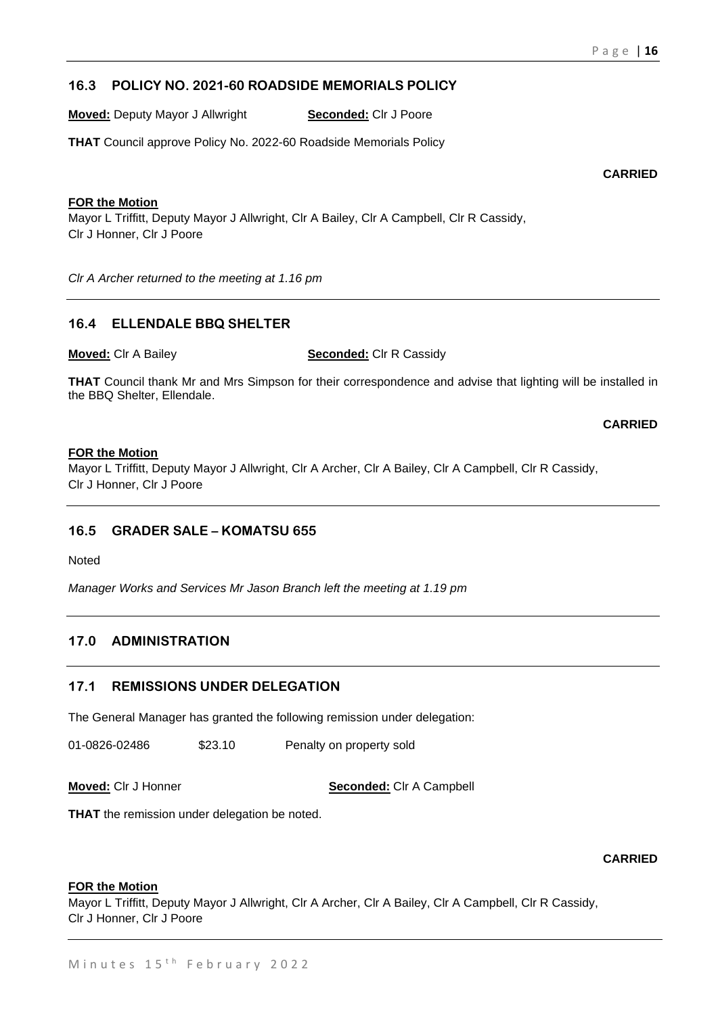## **16.3 POLICY NO. 2021-60 ROADSIDE MEMORIALS POLICY**

**Moved:** Deputy Mayor J Allwright **Seconded:** Clr J Poore

**THAT** Council approve Policy No. 2022-60 Roadside Memorials Policy

**CARRIED**

### **FOR the Motion**

Mayor L Triffitt, Deputy Mayor J Allwright, Clr A Bailey, Clr A Campbell, Clr R Cassidy, Clr J Honner, Clr J Poore

*Clr A Archer returned to the meeting at 1.16 pm*

## **16.4 ELLENDALE BBQ SHELTER**

**Moved:** Clr A Bailey **Seconded:** Clr R Cassidy

**THAT** Council thank Mr and Mrs Simpson for their correspondence and advise that lighting will be installed in the BBQ Shelter, Ellendale.

**CARRIED**

### **FOR the Motion**

Mayor L Triffitt, Deputy Mayor J Allwright, Clr A Archer, Clr A Bailey, Clr A Campbell, Clr R Cassidy, Clr J Honner, Clr J Poore

## **16.5 GRADER SALE – KOMATSU 655**

Noted

*Manager Works and Services Mr Jason Branch left the meeting at 1.19 pm*

## **17.0 ADMINISTRATION**

### **17.1 REMISSIONS UNDER DELEGATION**

The General Manager has granted the following remission under delegation:

01-0826-02486 \$23.10 Penalty on property sold

**Moved:** Clr J Honner **Seconded:** Clr A Campbell

**THAT** the remission under delegation be noted.

**CARRIED**

#### **FOR the Motion**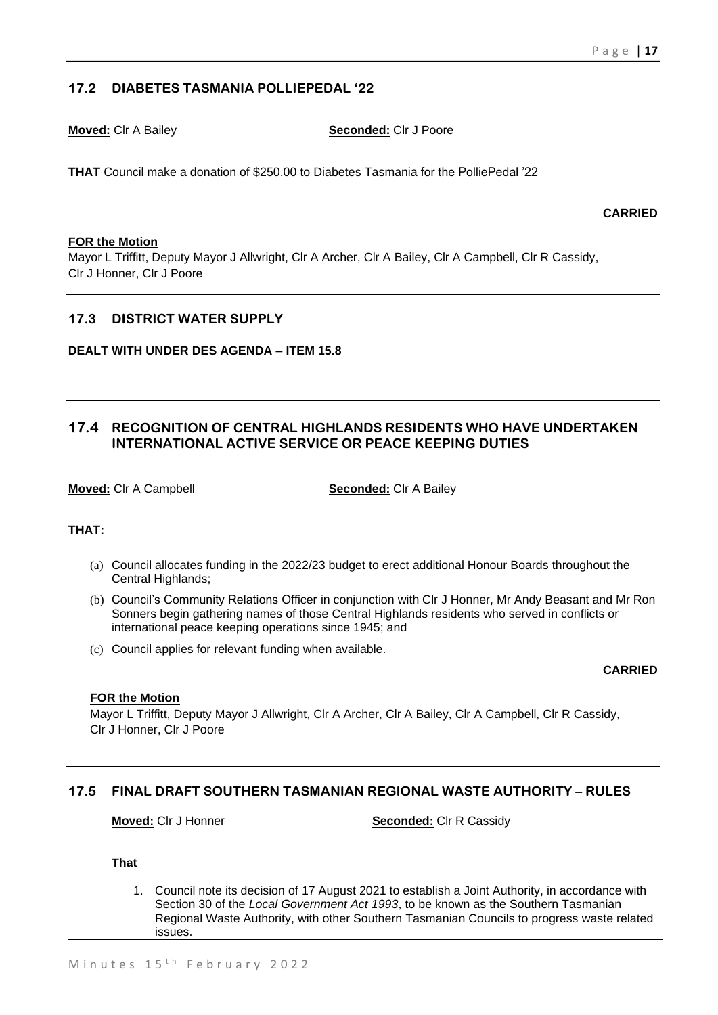## **17.2 DIABETES TASMANIA POLLIEPEDAL '22**

**Moved:** Clr A Bailey **Seconded:** Clr J Poore

**THAT** Council make a donation of \$250.00 to Diabetes Tasmania for the PolliePedal '22

**CARRIED**

### **FOR the Motion**

Mayor L Triffitt, Deputy Mayor J Allwright, Clr A Archer, Clr A Bailey, Clr A Campbell, Clr R Cassidy, Clr J Honner, Clr J Poore

### **17.3 DISTRICT WATER SUPPLY**

### **DEALT WITH UNDER DES AGENDA – ITEM 15.8**

## **17.4 RECOGNITION OF CENTRAL HIGHLANDS RESIDENTS WHO HAVE UNDERTAKEN INTERNATIONAL ACTIVE SERVICE OR PEACE KEEPING DUTIES**

**Moved:** Clr A Campbell **Seconded:** Clr A Bailey

#### **THAT:**

- (a) Council allocates funding in the 2022/23 budget to erect additional Honour Boards throughout the Central Highlands:
- (b) Council's Community Relations Officer in conjunction with Clr J Honner, Mr Andy Beasant and Mr Ron Sonners begin gathering names of those Central Highlands residents who served in conflicts or international peace keeping operations since 1945; and
- (c) Council applies for relevant funding when available.

#### **CARRIED**

### **FOR the Motion**

Mayor L Triffitt, Deputy Mayor J Allwright, Clr A Archer, Clr A Bailey, Clr A Campbell, Clr R Cassidy, Clr J Honner, Clr J Poore

### **17.5 FINAL DRAFT SOUTHERN TASMANIAN REGIONAL WASTE AUTHORITY – RULES**

**Moved:** Clr J Honner **Seconded:** Clr R Cassidy

**That** 

1. Council note its decision of 17 August 2021 to establish a Joint Authority, in accordance with Section 30 of the *Local Government Act 1993*, to be known as the Southern Tasmanian Regional Waste Authority, with other Southern Tasmanian Councils to progress waste related issues.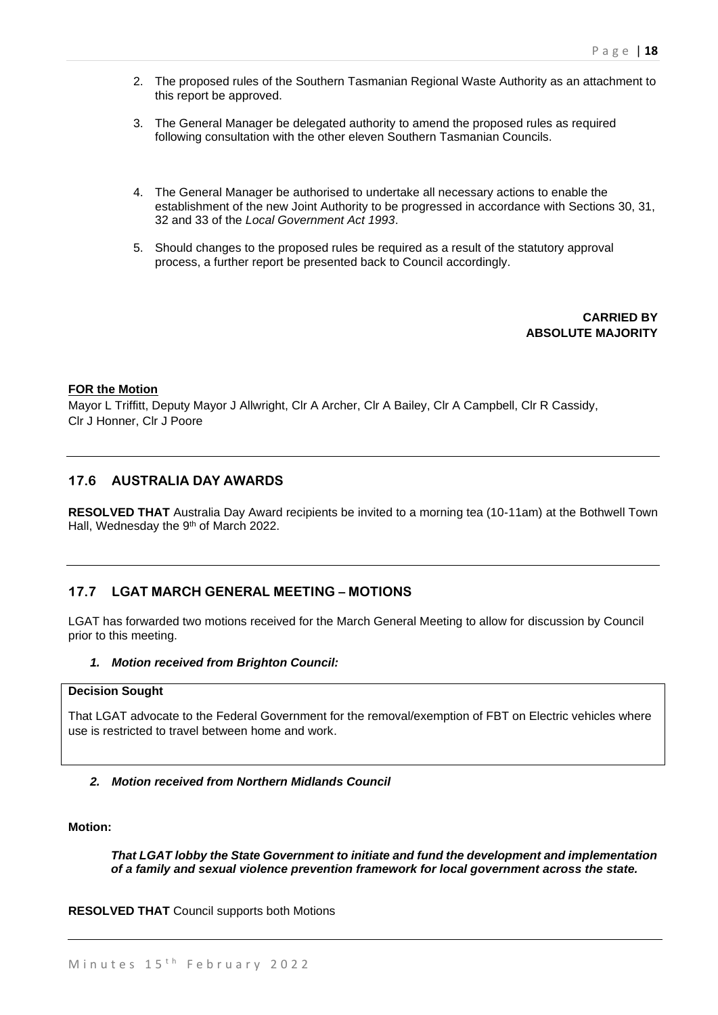- 2. The proposed rules of the Southern Tasmanian Regional Waste Authority as an attachment to this report be approved.
- 3. The General Manager be delegated authority to amend the proposed rules as required following consultation with the other eleven Southern Tasmanian Councils.
- 4. The General Manager be authorised to undertake all necessary actions to enable the establishment of the new Joint Authority to be progressed in accordance with Sections 30, 31, 32 and 33 of the *Local Government Act 1993*.
- 5. Should changes to the proposed rules be required as a result of the statutory approval process, a further report be presented back to Council accordingly.

**CARRIED BY ABSOLUTE MAJORITY**

#### **FOR the Motion**

Mayor L Triffitt, Deputy Mayor J Allwright, Clr A Archer, Clr A Bailey, Clr A Campbell, Clr R Cassidy, Clr J Honner, Clr J Poore

### **17.6 AUSTRALIA DAY AWARDS**

**RESOLVED THAT** Australia Day Award recipients be invited to a morning tea (10-11am) at the Bothwell Town Hall, Wednesday the 9<sup>th</sup> of March 2022.

### **17.7 LGAT MARCH GENERAL MEETING – MOTIONS**

LGAT has forwarded two motions received for the March General Meeting to allow for discussion by Council prior to this meeting.

#### *1. Motion received from Brighton Council:*

## **Decision Sought**

That LGAT advocate to the Federal Government for the removal/exemption of FBT on Electric vehicles where use is restricted to travel between home and work.

#### *2. Motion received from Northern Midlands Council*

**Motion:**

*That LGAT lobby the State Government to initiate and fund the development and implementation of a family and sexual violence prevention framework for local government across the state.*

**RESOLVED THAT** Council supports both Motions